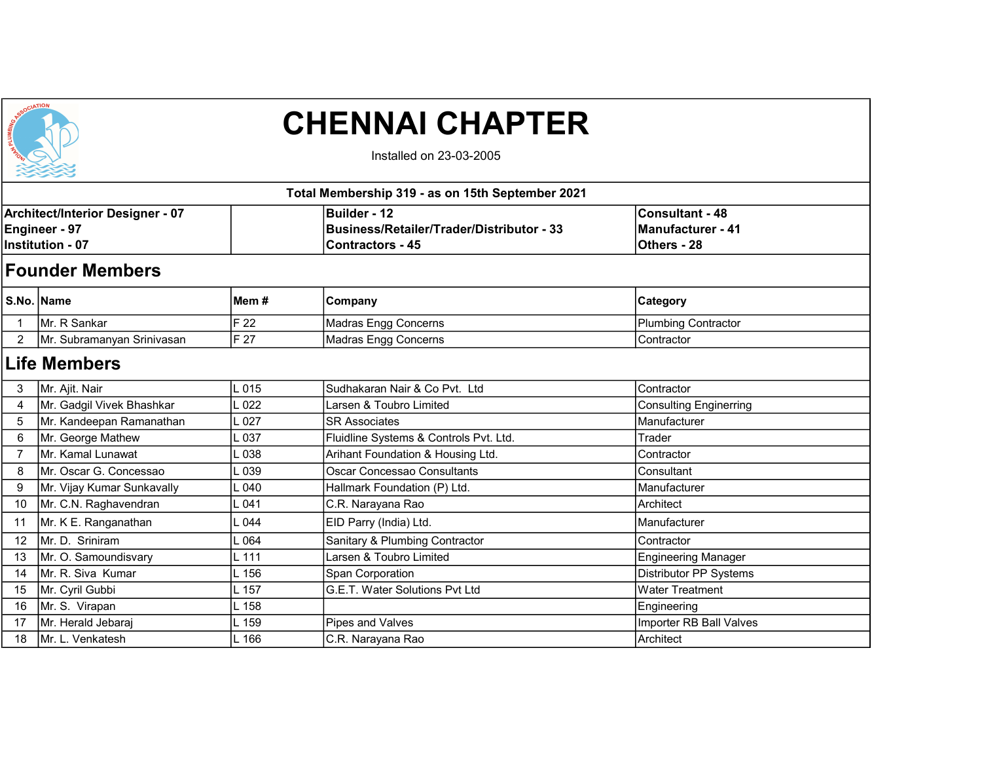

## CHENNAI CHAPTER

Installed on 23-03-2005

|                                                                                            |                        |        | Total Membership 319 - as on 15th September 2021                                             |                                                            |  |
|--------------------------------------------------------------------------------------------|------------------------|--------|----------------------------------------------------------------------------------------------|------------------------------------------------------------|--|
| <b>Architect/Interior Designer - 07</b><br><b>Engineer - 97</b><br><b>Institution - 07</b> |                        |        | <b>Builder - 12</b><br>Business/Retailer/Trader/Distributor - 33<br><b>IContractors - 45</b> | <b>Consultant - 48</b><br>Manufacturer - 41<br>Others - 28 |  |
|                                                                                            | <b>Founder Members</b> |        |                                                                                              |                                                            |  |
|                                                                                            | S.No. Name             | lMem # | Company                                                                                      | <b>Category</b>                                            |  |
|                                                                                            | IMr. R Sankar          | IF 22  | Madras Engg Concerns                                                                         | Plumbing Contractor                                        |  |

2 Mr. Subramanyan Srinivasan F 27 Madras Engg Concerns Contractor Contractor

## Life Members

| 3  | Mr. Ajit. Nair             | L <sub>015</sub> | Sudhakaran Nair & Co Pvt. Ltd          | Contractor                    |
|----|----------------------------|------------------|----------------------------------------|-------------------------------|
| 4  | Mr. Gadgil Vivek Bhashkar  | L <sub>022</sub> | Larsen & Toubro Limited                | <b>Consulting Enginerring</b> |
| 5  | Mr. Kandeepan Ramanathan   | .027             | <b>SR Associates</b>                   | Manufacturer                  |
| 6  | Mr. George Mathew          | L 037            | Fluidline Systems & Controls Pvt. Ltd. | Trader                        |
|    | Mr. Kamal Lunawat          | . 038            | Arihant Foundation & Housing Ltd.      | Contractor                    |
| 8  | Mr. Oscar G. Concessao     | . 039            | Oscar Concessao Consultants            | Consultant                    |
| 9  | Mr. Vijay Kumar Sunkavally | . 040            | Hallmark Foundation (P) Ltd.           | Manufacturer                  |
| 10 | Mr. C.N. Raghavendran      | . 041            | C.R. Narayana Rao                      | Architect                     |
| 11 | Mr. K E. Ranganathan       | .044             | EID Parry (India) Ltd.                 | Manufacturer                  |
| 12 | Mr. D. Sriniram            | . 064            | Sanitary & Plumbing Contractor         | Contractor                    |
| 13 | Mr. O. Samoundisvary       | $L$ 111          | Larsen & Toubro Limited                | <b>Engineering Manager</b>    |
| 14 | Mr. R. Siva Kumar          | 156              | Span Corporation                       | Distributor PP Systems        |
| 15 | Mr. Cyril Gubbi            | 157              | G.E.T. Water Solutions Pvt Ltd         | <b>Water Treatment</b>        |
| 16 | Mr. S. Virapan             | 158              |                                        | Engineering                   |
| 17 | Mr. Herald Jebaraj         | 159              | Pipes and Valves                       | Importer RB Ball Valves       |
| 18 | Mr. L. Venkatesh           | .166             | C.R. Narayana Rao                      | Architect                     |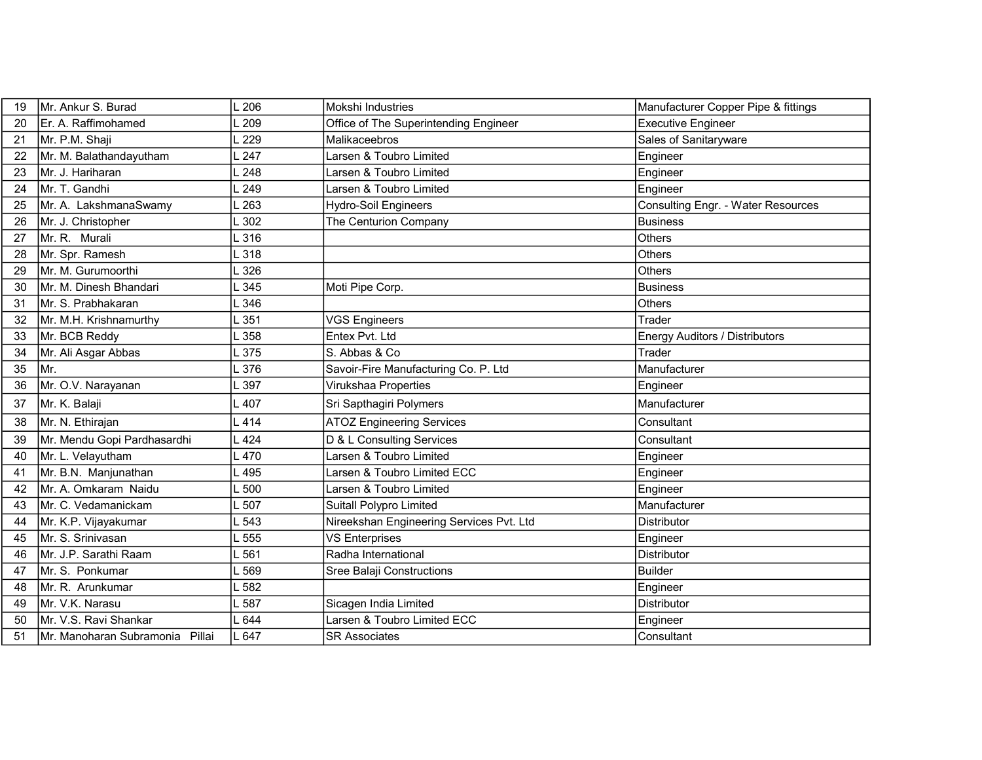| 19 | Mr. Ankur S. Burad              | 206   | Mokshi Industries                        | Manufacturer Copper Pipe & fittings       |
|----|---------------------------------|-------|------------------------------------------|-------------------------------------------|
| 20 | Er. A. Raffimohamed             | 209   | Office of The Superintending Engineer    | <b>Executive Engineer</b>                 |
| 21 | Mr. P.M. Shaji                  | 229   | Malikaceebros                            | Sales of Sanitaryware                     |
| 22 | Mr. M. Balathandayutham         | 247   | Larsen & Toubro Limited                  | Engineer                                  |
| 23 | Mr. J. Hariharan                | 248   | Larsen & Toubro Limited                  | Engineer                                  |
| 24 | Mr. T. Gandhi                   | 249   | Larsen & Toubro Limited                  | Engineer                                  |
| 25 | Mr. A. LakshmanaSwamy           | .263  | Hydro-Soil Engineers                     | <b>Consulting Engr. - Water Resources</b> |
| 26 | Mr. J. Christopher              | 302   | The Centurion Company                    | <b>Business</b>                           |
| 27 | Mr. R. Murali                   | L 316 |                                          | Others                                    |
| 28 | Mr. Spr. Ramesh                 | .318  |                                          | Others                                    |
| 29 | Mr. M. Gurumoorthi              | .326  |                                          | <b>Others</b>                             |
| 30 | Mr. M. Dinesh Bhandari          | 345   | Moti Pipe Corp.                          | <b>Business</b>                           |
| 31 | Mr. S. Prabhakaran              | L 346 |                                          | <b>Others</b>                             |
| 32 | Mr. M.H. Krishnamurthy          | 351   | <b>VGS Engineers</b>                     | Trader                                    |
| 33 | Mr. BCB Reddy                   | L358  | Entex Pvt. Ltd                           | Energy Auditors / Distributors            |
| 34 | Mr. Ali Asgar Abbas             | 375   | S. Abbas & Co                            | Trader                                    |
| 35 | Mr.                             | 1376  | Savoir-Fire Manufacturing Co. P. Ltd     | Manufacturer                              |
| 36 | Mr. O.V. Narayanan              | 397   | Virukshaa Properties                     | Engineer                                  |
| 37 | Mr. K. Balaji                   | .407  | Sri Sapthagiri Polymers                  | Manufacturer                              |
| 38 | Mr. N. Ethirajan                | 414   | <b>ATOZ Engineering Services</b>         | Consultant                                |
| 39 | Mr. Mendu Gopi Pardhasardhi     | 424   | D & L Consulting Services                | Consultant                                |
| 40 | Mr. L. Velayutham               | L 470 | Larsen & Toubro Limited                  | Engineer                                  |
| 41 | Mr. B.N. Manjunathan            | 495   | Larsen & Toubro Limited ECC              | Engineer                                  |
| 42 | Mr. A. Omkaram Naidu            | .500  | Larsen & Toubro Limited                  | Engineer                                  |
| 43 | Mr. C. Vedamanickam             | 507   | Suitall Polypro Limited                  | Manufacturer                              |
| 44 | Mr. K.P. Vijayakumar            | 543   | Nireekshan Engineering Services Pvt. Ltd | Distributor                               |
| 45 | Mr. S. Srinivasan               | 555   | <b>VS Enterprises</b>                    | Engineer                                  |
| 46 | Mr. J.P. Sarathi Raam           | .561  | Radha International                      | <b>Distributor</b>                        |
| 47 | Mr. S. Ponkumar                 | 569   | Sree Balaji Constructions                | <b>Builder</b>                            |
| 48 | Mr. R. Arunkumar                | L582  |                                          | Engineer                                  |
| 49 | Mr. V.K. Narasu                 | 587   | Sicagen India Limited                    | Distributor                               |
| 50 | Mr. V.S. Ravi Shankar           | 644   | Larsen & Toubro Limited ECC              | Engineer                                  |
| 51 | Mr. Manoharan Subramonia Pillai | L 647 | <b>SR Associates</b>                     | Consultant                                |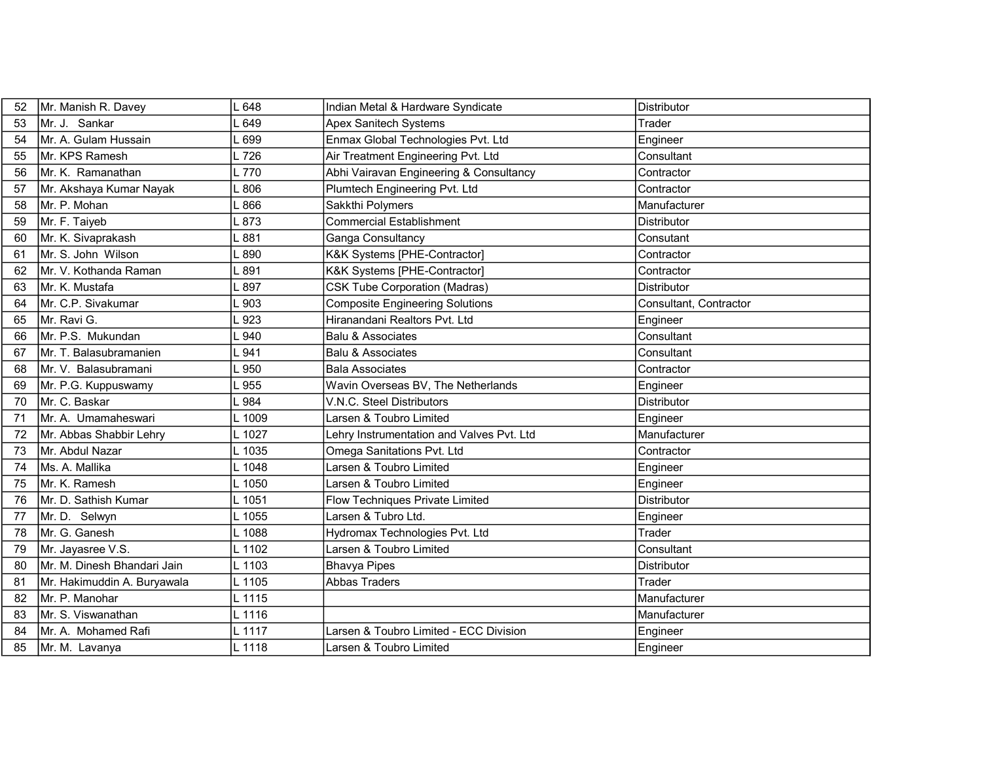| 52 | Mr. Manish R. Davey         | L 648  | Indian Metal & Hardware Syndicate         | <b>Distributor</b>     |
|----|-----------------------------|--------|-------------------------------------------|------------------------|
| 53 | Mr. J. Sankar               | 649    | <b>Apex Sanitech Systems</b>              | Trader                 |
| 54 | Mr. A. Gulam Hussain        | - 699  | Enmax Global Technologies Pvt. Ltd        | Engineer               |
| 55 | Mr. KPS Ramesh              | L 726  | Air Treatment Engineering Pvt. Ltd        | Consultant             |
| 56 | Mr. K. Ramanathan           | L 770  | Abhi Vairavan Engineering & Consultancy   | Contractor             |
| 57 | Mr. Akshaya Kumar Nayak     | $-806$ | Plumtech Engineering Pvt. Ltd             | Contractor             |
| 58 | Mr. P. Mohan                | 866    | Sakkthi Polymers                          | Manufacturer           |
| 59 | Mr. F. Taiyeb               | L 873  | Commercial Establishment                  | <b>Distributor</b>     |
| 60 | Mr. K. Sivaprakash          | .881   | Ganga Consultancy                         | Consutant              |
| 61 | Mr. S. John Wilson          | L 890  | K&K Systems [PHE-Contractor]              | Contractor             |
| 62 | İMr. V. Kothanda Raman      | $-891$ | K&K Systems [PHE-Contractor]              | Contractor             |
| 63 | Mr. K. Mustafa              | 897    | <b>CSK Tube Corporation (Madras)</b>      | <b>Distributor</b>     |
| 64 | Mr. C.P. Sivakumar          | .903   | <b>Composite Engineering Solutions</b>    | Consultant, Contractor |
| 65 | ∣Mr. Ravi G.                | 923    | Hiranandani Realtors Pvt. Ltd             | Engineer               |
| 66 | Mr. P.S. Mukundan           | .940   | <b>Balu &amp; Associates</b>              | Consultant             |
| 67 | Mr. T. Balasubramanien      | 941    | Balu & Associates                         | Consultant             |
| 68 | Mr. V. Balasubramani        | 950    | Bala Associates                           | Contractor             |
| 69 | Mr. P.G. Kuppuswamy         | 955    | Wavin Overseas BV, The Netherlands        | Engineer               |
| 70 | Mr. C. Baskar               | .984   | V.N.C. Steel Distributors                 | <b>Distributor</b>     |
| 71 | Mr. A. Umamaheswari         | L 1009 | Larsen & Toubro Limited                   | Engineer               |
| 72 | Mr. Abbas Shabbir Lehry     |        |                                           |                        |
| 73 |                             | L 1027 | Lehry Instrumentation and Valves Pvt. Ltd | Manufacturer           |
|    | Mr. Abdul Nazar             | L 1035 | Omega Sanitations Pvt. Ltd                | Contractor             |
| 74 | Ms. A. Mallika              | L 1048 | Larsen & Toubro Limited                   | Engineer               |
| 75 | Mr. K. Ramesh               | L 1050 | Larsen & Toubro Limited                   | Engineer               |
| 76 | Mr. D. Sathish Kumar        | L 1051 | Flow Techniques Private Limited           | Distributor            |
| 77 | Mr. D. Selwyn               | . 1055 | Larsen & Tubro Ltd.                       | Engineer               |
| 78 | Mr. G. Ganesh               | L 1088 | Hydromax Technologies Pvt. Ltd            | Trader                 |
| 79 | Mr. Jayasree V.S.           | L 1102 | Larsen & Toubro Limited                   | Consultant             |
| 80 | Mr. M. Dinesh Bhandari Jain | L 1103 | <b>Bhavya Pipes</b>                       | Distributor            |
| 81 | Mr. Hakimuddin A. Buryawala | L 1105 | <b>Abbas Traders</b>                      | Trader                 |
| 82 | Mr. P. Manohar              | L 1115 |                                           | Manufacturer           |
| 83 | Mr. S. Viswanathan          | L 1116 |                                           | Manufacturer           |
| 84 | Mr. A. Mohamed Rafi         | L 1117 | Larsen & Toubro Limited - ECC Division    | Engineer               |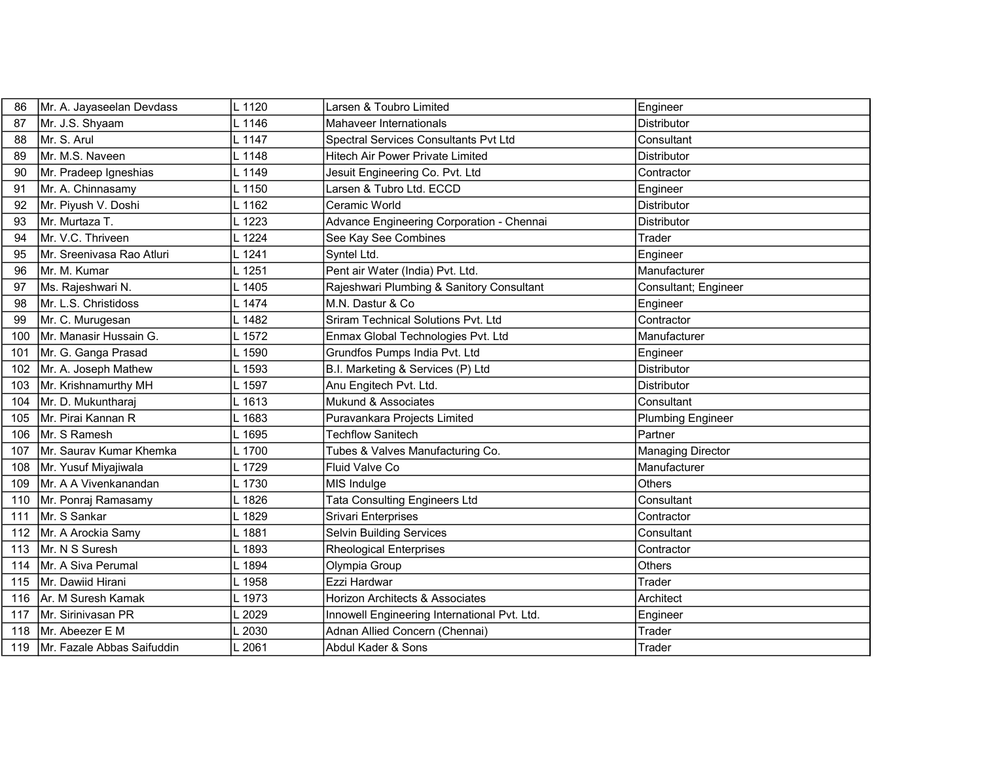| 86  | Mr. A. Jayaseelan Devdass  | L 1120         | Larsen & Toubro Limited                      | Engineer                 |
|-----|----------------------------|----------------|----------------------------------------------|--------------------------|
| 87  | Mr. J.S. Shyaam            | L 1146         | Mahaveer Internationals                      | <b>Distributor</b>       |
| 88  | Mr. S. Arul                | L 1147         | Spectral Services Consultants Pvt Ltd        | Consultant               |
| 89  | Mr. M.S. Naveen            | L 1148         | Hitech Air Power Private Limited             | <b>Distributor</b>       |
| 90  | Mr. Pradeep Igneshias      | L 1149         | Jesuit Engineering Co. Pvt. Ltd              | Contractor               |
| 91  | Mr. A. Chinnasamy          | L 1150         | Larsen & Tubro Ltd. ECCD                     | Engineer                 |
| 92  | Mr. Piyush V. Doshi        | 1162           | Ceramic World                                | <b>Distributor</b>       |
| 93  | Mr. Murtaza T.             | L 1223         | Advance Engineering Corporation - Chennai    | <b>Distributor</b>       |
| 94  | Mr. V.C. Thriveen          | $\lfloor$ 1224 | See Kay See Combines                         | Trader                   |
| 95  | Mr. Sreenivasa Rao Atluri  | L 1241         | Syntel Ltd.                                  | Engineer                 |
| 96  | Mr. M. Kumar               | L 1251         | Pent air Water (India) Pvt. Ltd.             | Manufacturer             |
| 97  | Ms. Rajeshwari N.          | 1405           | Rajeshwari Plumbing & Sanitory Consultant    | Consultant; Engineer     |
| 98  | Mr. L.S. Christidoss       | L 1474         | lM.N. Dastur & Co                            | Engineer                 |
| 99  | Mr. C. Murugesan           | .1482          | Sriram Technical Solutions Pvt. Ltd          | Contractor               |
| 100 | Mr. Manasir Hussain G.     | 1572           | Enmax Global Technologies Pvt. Ltd           | Manufacturer             |
| 101 | Mr. G. Ganga Prasad        | L 1590         | Grundfos Pumps India Pvt. Ltd                | Engineer                 |
| 102 | Mr. A. Joseph Mathew       | 1593           | B.I. Marketing & Services (P) Ltd            | <b>Distributor</b>       |
| 103 | Mr. Krishnamurthy MH       | L 1597         | Anu Engitech Pvt. Ltd.                       | <b>Distributor</b>       |
| 104 | Mr. D. Mukuntharaj         | .1613          | Mukund & Associates                          | Consultant               |
| 105 | Mr. Pirai Kannan R         | L 1683         | Puravankara Projects Limited                 | <b>Plumbing Engineer</b> |
| 106 | Mr. S Ramesh               | L 1695         | <b>Techflow Sanitech</b>                     | Partner                  |
| 107 | Mr. Saurav Kumar Khemka    | . 1700         | Tubes & Valves Manufacturing Co.             | <b>Managing Director</b> |
| 108 | Mr. Yusuf Miyajiwala       | L 1729         | Fluid Valve Co                               | Manufacturer             |
| 109 | IMr. A A Vivenkanandan     | 1730           | MIS Indulge                                  | <b>Others</b>            |
| 110 | Mr. Ponraj Ramasamy        | $\lfloor 1826$ | <b>Tata Consulting Engineers Ltd</b>         | Consultant               |
| 111 | Mr. S Sankar               | 1829           | <b>Srivari Enterprises</b>                   | Contractor               |
| 112 | Mr. A Arockia Samy         | 1881           | Selvin Building Services                     | Consultant               |
| 113 | Mr. N S Suresh             | L 1893         | Rheological Enterprises                      | Contractor               |
| 114 | Mr. A Siva Perumal         | $-1894$        | Olympia Group                                | <b>Others</b>            |
| 115 | Mr. Dawiid Hirani          | L 1958         | Ezzi Hardwar                                 | Trader                   |
| 116 | Ar. M Suresh Kamak         | $L$ 1973       | Horizon Architects & Associates              | Architect                |
| 117 | Mr. Sirinivasan PR         | 2029           | Innowell Engineering International Pvt. Ltd. | Engineer                 |
| 118 | Mr. Abeezer E M            | 2030           | Adnan Allied Concern (Chennai)               | Trader                   |
| 119 | Mr. Fazale Abbas Saifuddin | 2061           | Abdul Kader & Sons                           | Trader                   |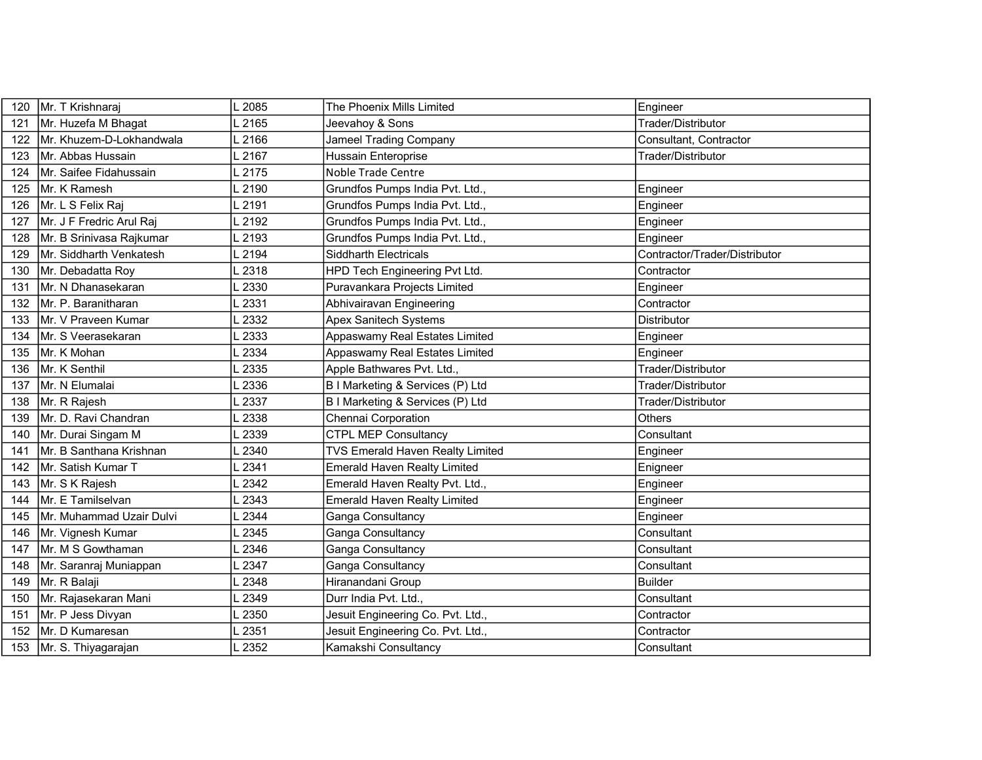| 120 | Mr. T Krishnaraj         | 2085 | The Phoenix Mills Limited           | Engineer                      |
|-----|--------------------------|------|-------------------------------------|-------------------------------|
| 121 | Mr. Huzefa M Bhagat      | 2165 | Jeevahoy & Sons                     | Trader/Distributor            |
| 122 | Mr. Khuzem-D-Lokhandwala | 2166 | <b>Jameel Trading Company</b>       | Consultant, Contractor        |
| 123 | Mr. Abbas Hussain        | 2167 | Hussain Enteroprise                 | Trader/Distributor            |
| 124 | Mr. Saifee Fidahussain   | 2175 | <b>Noble Trade Centre</b>           |                               |
| 125 | Mr. K Ramesh             | 2190 | Grundfos Pumps India Pvt. Ltd.,     | Engineer                      |
| 126 | Mr. L S Felix Raj        | 2191 | Grundfos Pumps India Pvt. Ltd.,     | Engineer                      |
| 127 | Mr. J F Fredric Arul Raj | 2192 | Grundfos Pumps India Pvt. Ltd.,     | Engineer                      |
| 128 | Mr. B Srinivasa Rajkumar | 2193 | Grundfos Pumps India Pvt. Ltd.,     | Engineer                      |
| 129 | Mr. Siddharth Venkatesh  | 2194 | <b>Siddharth Electricals</b>        | Contractor/Trader/Distributor |
| 130 | Mr. Debadatta Roy        | 2318 | HPD Tech Engineering Pvt Ltd.       | Contractor                    |
| 131 | Mr. N Dhanasekaran       | 2330 | Puravankara Projects Limited        | Engineer                      |
| 132 | Mr. P. Baranitharan      | 2331 | Abhivairavan Engineering            | Contractor                    |
| 133 | Mr. V Praveen Kumar      | 2332 | <b>Apex Sanitech Systems</b>        | <b>Distributor</b>            |
| 134 | Mr. S Veerasekaran       | 2333 | Appaswamy Real Estates Limited      | Engineer                      |
| 135 | Mr. K Mohan              | 2334 | Appaswamy Real Estates Limited      | Engineer                      |
| 136 | Mr. K Senthil            | 2335 | Apple Bathwares Pvt. Ltd.,          | Trader/Distributor            |
| 137 | Mr. N Elumalai           | 2336 | B I Marketing & Services (P) Ltd    | Trader/Distributor            |
| 138 | Mr. R Rajesh             | 2337 | B I Marketing & Services (P) Ltd    | Trader/Distributor            |
| 139 | Mr. D. Ravi Chandran     | 2338 | Chennai Corporation                 | Others                        |
| 140 | Mr. Durai Singam M       | 2339 | <b>CTPL MEP Consultancy</b>         | Consultant                    |
| 141 | Mr. B Santhana Krishnan  | 2340 | TVS Emerald Haven Realty Limited    | Engineer                      |
| 142 | Mr. Satish Kumar T       | 2341 | <b>Emerald Haven Realty Limited</b> | Enigneer                      |
| 143 | Mr. S K Rajesh           | 2342 | Emerald Haven Realty Pvt. Ltd.,     | Engineer                      |
| 144 | Mr. E Tamilselvan        | 2343 | <b>Emerald Haven Realty Limited</b> | Engineer                      |
| 145 | Mr. Muhammad Uzair Dulvi | 2344 | Ganga Consultancy                   | Engineer                      |
| 146 | Mr. Vignesh Kumar        | 2345 | Ganga Consultancy                   | Consultant                    |
| 147 | Mr. M S Gowthaman        | 2346 | Ganga Consultancy                   | Consultant                    |
| 148 | Mr. Saranraj Muniappan   | 2347 | Ganga Consultancy                   | Consultant                    |
| 149 | Mr. R Balaji             | 2348 | Hiranandani Group                   | <b>Builder</b>                |
| 150 | Mr. Rajasekaran Mani     | 2349 | Durr India Pvt. Ltd.,               | Consultant                    |
| 151 | Mr. P Jess Divyan        | 2350 | Jesuit Engineering Co. Pvt. Ltd.,   | Contractor                    |
| 152 | Mr. D Kumaresan          | 2351 | Jesuit Engineering Co. Pvt. Ltd.,   | Contractor                    |
| 153 | Mr. S. Thiyagarajan      | 2352 | Kamakshi Consultancy                | Consultant                    |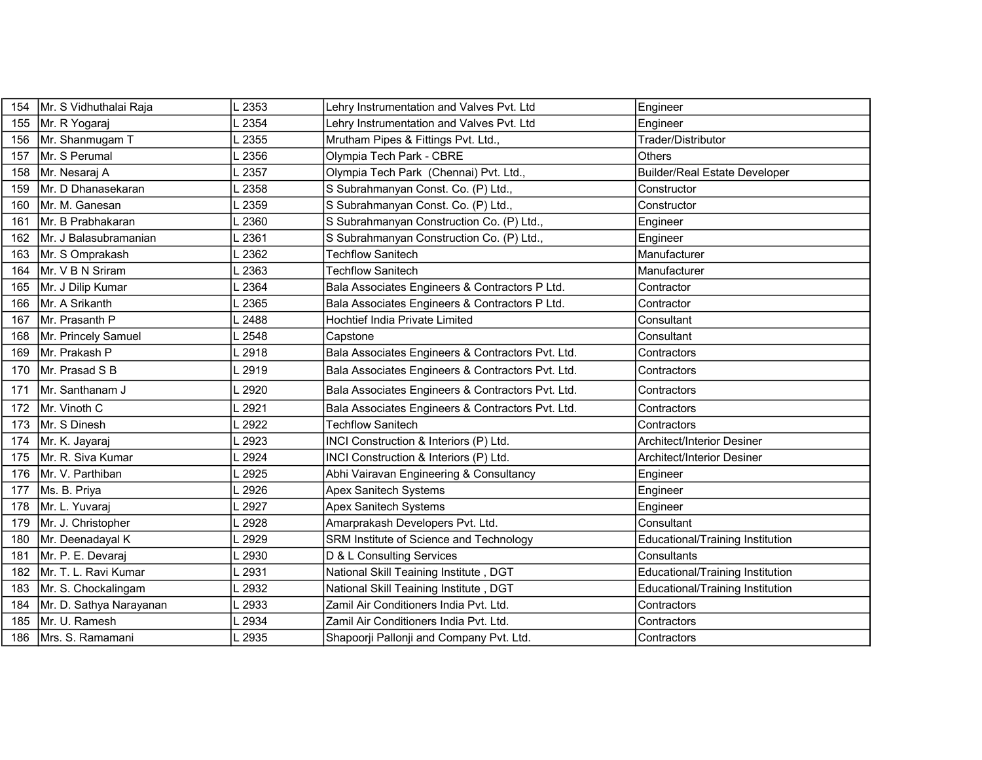| 154 | Mr. S Vidhuthalai Raja  | $\lfloor 2353$ | Lehry Instrumentation and Valves Pvt. Ltd         | Engineer                                |
|-----|-------------------------|----------------|---------------------------------------------------|-----------------------------------------|
| 155 | Mr. R Yogaraj           | 2354           | Lehry Instrumentation and Valves Pvt. Ltd         | Engineer                                |
| 156 | Mr. Shanmugam T         | .2355          | Mrutham Pipes & Fittings Pvt. Ltd.,               | Trader/Distributor                      |
| 157 | Mr. S Perumal           | .2356          | Olympia Tech Park - CBRE                          | <b>Others</b>                           |
| 158 | Mr. Nesaraj A           | 2357           | Olympia Tech Park (Chennai) Pvt. Ltd.,            | <b>Builder/Real Estate Developer</b>    |
| 159 | Mr. D Dhanasekaran      | 2358           | S Subrahmanyan Const. Co. (P) Ltd.,               | Constructor                             |
| 160 | Mr. M. Ganesan          | 2359           | S Subrahmanyan Const. Co. (P) Ltd.,               | Constructor                             |
| 161 | Mr. B Prabhakaran       | 2360           | S Subrahmanyan Construction Co. (P) Ltd.,         | Engineer                                |
| 162 | IMr. J Balasubramanian  | 2361           | S Subrahmanyan Construction Co. (P) Ltd.,         | Engineer                                |
| 163 | Mr. S Omprakash         | 2362           | <b>Techflow Sanitech</b>                          | Manufacturer                            |
| 164 | Mr. V B N Sriram        | 2363           | <b>Techflow Sanitech</b>                          | Manufacturer                            |
| 165 | Mr. J Dilip Kumar       | 2364           | Bala Associates Engineers & Contractors P Ltd.    | Contractor                              |
| 166 | Mr. A Srikanth          | .2365          | Bala Associates Engineers & Contractors P Ltd.    | Contractor                              |
| 167 | Mr. Prasanth P          | 2488           | Hochtief India Private Limited                    | Consultant                              |
| 168 | Mr. Princely Samuel     | 2548           | Capstone                                          | Consultant                              |
| 169 | Mr. Prakash P           | 2918           | Bala Associates Engineers & Contractors Pvt. Ltd. | Contractors                             |
| 170 | Mr. Prasad S B          | 2919           | Bala Associates Engineers & Contractors Pvt. Ltd. | Contractors                             |
| 171 | Mr. Santhanam J         | 2920           | Bala Associates Engineers & Contractors Pvt. Ltd. | Contractors                             |
| 172 | Mr. Vinoth C            | 2921           | Bala Associates Engineers & Contractors Pvt. Ltd. | Contractors                             |
| 173 | Mr. S Dinesh            | 2922           | <b>Techflow Sanitech</b>                          | Contractors                             |
| 174 | Mr. K. Jayaraj          | 2923           | INCI Construction & Interiors (P) Ltd.            | <b>Architect/Interior Desiner</b>       |
| 175 | Mr. R. Siva Kumar       | 2924           | INCI Construction & Interiors (P) Ltd.            | <b>Architect/Interior Desiner</b>       |
| 176 | Mr. V. Parthiban        | 2925           | Abhi Vairavan Engineering & Consultancy           | Engineer                                |
| 177 | Ms. B. Priya            | 2926           | <b>Apex Sanitech Systems</b>                      | Engineer                                |
| 178 | Mr. L. Yuvaraj          | 2927           | <b>Apex Sanitech Systems</b>                      | Engineer                                |
| 179 | Mr. J. Christopher      | 2928           | Amarprakash Developers Pvt. Ltd.                  | Consultant                              |
| 180 | Mr. Deenadayal K        | .2929          | SRM Institute of Science and Technology           | <b>Educational/Training Institution</b> |
| 181 | Mr. P. E. Devaraj       | 2930           | D & L Consulting Services                         | Consultants                             |
| 182 | Mr. T. L. Ravi Kumar    | 2931           | National Skill Teaining Institute, DGT            | <b>Educational/Training Institution</b> |
| 183 | Mr. S. Chockalingam     | 2932           | National Skill Teaining Institute, DGT            | Educational/Training Institution        |
| 184 | Mr. D. Sathya Narayanan | 2933           | Zamil Air Conditioners India Pvt. Ltd.            | Contractors                             |
| 185 | Mr. U. Ramesh           | 2934           | Zamil Air Conditioners India Pvt. Ltd.            | Contractors                             |
| 186 | Mrs. S. Ramamani        | L 2935         | Shapoorji Pallonji and Company Pvt. Ltd.          | Contractors                             |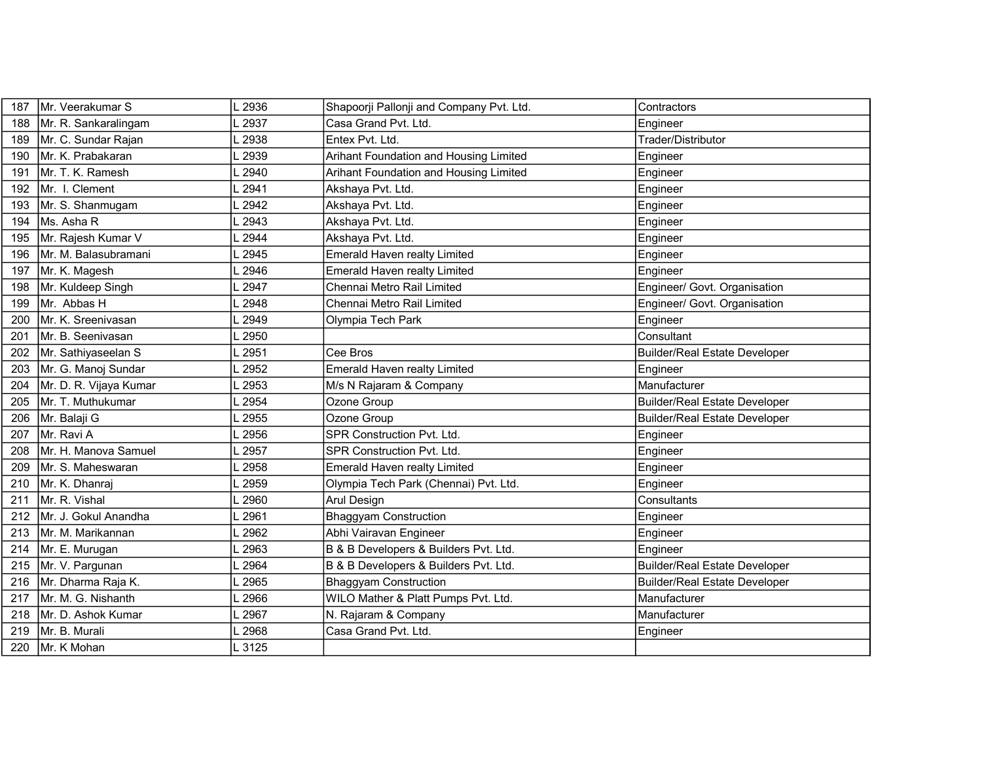| 187 | Mr. Veerakumar S       | 2936   | Shapoorji Pallonji and Company Pvt. Ltd. | Contractors                          |
|-----|------------------------|--------|------------------------------------------|--------------------------------------|
| 188 | Mr. R. Sankaralingam   | 2937   | Casa Grand Pvt. Ltd.                     | Engineer                             |
| 189 | Mr. C. Sundar Rajan    | 2938   | Entex Pvt. Ltd.                          | Trader/Distributor                   |
| 190 | Mr. K. Prabakaran      | 2939   | Arihant Foundation and Housing Limited   | Engineer                             |
| 191 | Mr. T. K. Ramesh       | 2940   | Arihant Foundation and Housing Limited   | Engineer                             |
| 192 | Mr. I. Clement         | 2941   | Akshaya Pvt. Ltd.                        | Engineer                             |
| 193 | Mr. S. Shanmugam       | 2942   | Akshaya Pvt. Ltd.                        | Engineer                             |
| 194 | Ms. Asha R             | 2943   | Akshaya Pvt. Ltd.                        | Engineer                             |
| 195 | Mr. Rajesh Kumar V     | 2944   | Akshaya Pvt. Ltd.                        | Engineer                             |
| 196 | Mr. M. Balasubramani   | 2945   | Emerald Haven realty Limited             | Engineer                             |
| 197 | Mr. K. Magesh          | 2946   | Emerald Haven realty Limited             | Engineer                             |
| 198 | Mr. Kuldeep Singh      | 2947   | Chennai Metro Rail Limited               | Engineer/ Govt. Organisation         |
| 199 | Mr. Abbas H            | 2948   | Chennai Metro Rail Limited               | Engineer/ Govt. Organisation         |
| 200 | Mr. K. Sreenivasan     | 2949   | Olympia Tech Park                        | Engineer                             |
| 201 | IMr. B. Seenivasan     | 2950   |                                          | Consultant                           |
| 202 | Mr. Sathiyaseelan S    | 2951   | Cee Bros                                 | <b>Builder/Real Estate Developer</b> |
| 203 | Mr. G. Manoj Sundar    | 2952   | Emerald Haven realty Limited             | Engineer                             |
| 204 | Mr. D. R. Vijaya Kumar | 2953   | M/s N Rajaram & Company                  | Manufacturer                         |
| 205 | Mr. T. Muthukumar      | 2954   | Ozone Group                              | <b>Builder/Real Estate Developer</b> |
| 206 | Mr. Balaji G           | 2955   | Ozone Group                              | <b>Builder/Real Estate Developer</b> |
| 207 | Mr. Ravi A             | 2956   | SPR Construction Pvt. Ltd.               | Engineer                             |
| 208 | Mr. H. Manova Samuel   | 2957   | SPR Construction Pvt. Ltd.               | Engineer                             |
| 209 | Mr. S. Maheswaran      | 2958   | Emerald Haven realty Limited             | Engineer                             |
| 210 | Mr. K. Dhanraj         | 2959   | Olympia Tech Park (Chennai) Pvt. Ltd.    | Engineer                             |
| 211 | Mr. R. Vishal          | 2960   | Arul Design                              | Consultants                          |
| 212 | İMr. J. Gokul Anandha  | 2961   | <b>Bhaggyam Construction</b>             | Engineer                             |
| 213 | Mr. M. Marikannan      | 2962   | Abhi Vairavan Engineer                   | Engineer                             |
| 214 | Mr. E. Murugan         | 2963   | B & B Developers & Builders Pvt. Ltd.    | Engineer                             |
| 215 | Mr. V. Pargunan        | 2964   | B & B Developers & Builders Pvt. Ltd.    | <b>Builder/Real Estate Developer</b> |
| 216 | Mr. Dharma Raja K.     | 2965   | Bhaggyam Construction                    | <b>Builder/Real Estate Developer</b> |
| 217 | Mr. M. G. Nishanth     | 2966   | WILO Mather & Platt Pumps Pvt. Ltd.      | Manufacturer                         |
| 218 | Mr. D. Ashok Kumar     | 2967   | N. Rajaram & Company                     | Manufacturer                         |
| 219 | Mr. B. Murali          | 2968   | Casa Grand Pvt. Ltd.                     | Engineer                             |
| 220 | Mr. K Mohan            | L 3125 |                                          |                                      |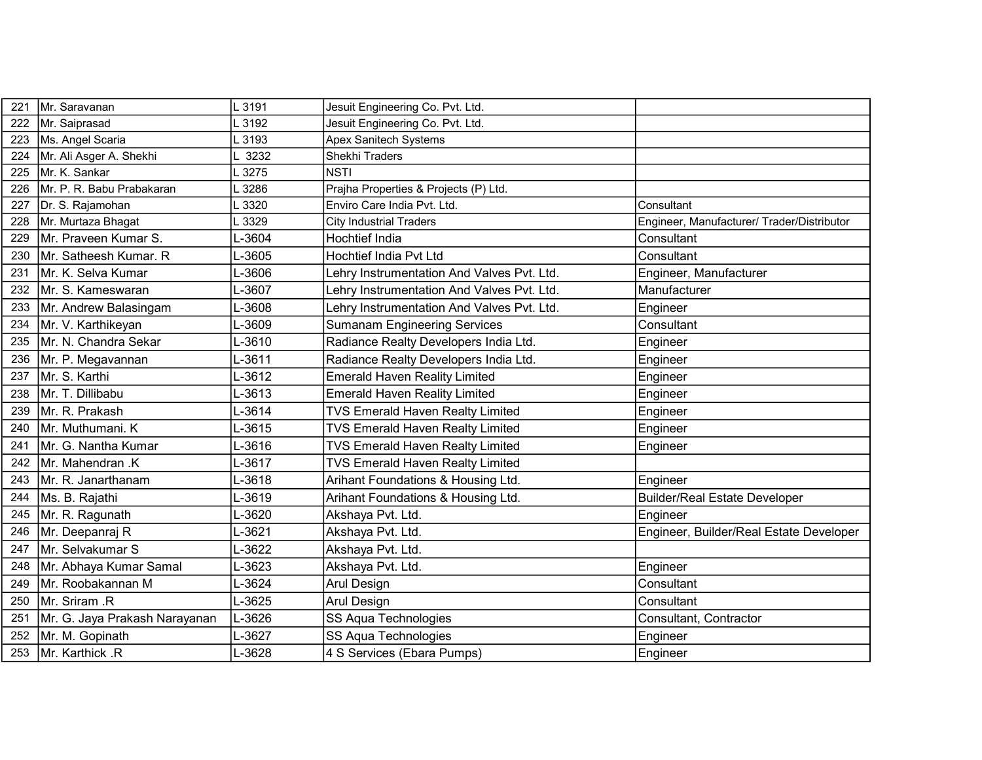| 221 | Mr. Saravanan                 | L 3191  | Jesuit Engineering Co. Pvt. Ltd.           |                                            |
|-----|-------------------------------|---------|--------------------------------------------|--------------------------------------------|
| 222 | Mr. Saiprasad                 | 3192    | Jesuit Engineering Co. Pvt. Ltd.           |                                            |
| 223 | Ms. Angel Scaria              | 3193    | <b>Apex Sanitech Systems</b>               |                                            |
| 224 | Mr. Ali Asger A. Shekhi       | 3232    | Shekhi Traders                             |                                            |
| 225 | Mr. K. Sankar                 | 3275    | <b>NSTI</b>                                |                                            |
| 226 | Mr. P. R. Babu Prabakaran     | 3286    | Prajha Properties & Projects (P) Ltd.      |                                            |
| 227 | Dr. S. Rajamohan              | 3320    | Enviro Care India Pvt. Ltd.                | Consultant                                 |
| 228 | Mr. Murtaza Bhagat            | 3329    | <b>City Industrial Traders</b>             | Engineer, Manufacturer/ Trader/Distributor |
| 229 | Mr. Praveen Kumar S.          | $-3604$ | Hochtief India                             | Consultant                                 |
| 230 | Mr. Satheesh Kumar. R         | L-3605  | Hochtief India Pvt Ltd                     | Consultant                                 |
| 231 | Mr. K. Selva Kumar            | L-3606  | Lehry Instrumentation And Valves Pvt. Ltd. | Engineer, Manufacturer                     |
| 232 | Mr. S. Kameswaran             | L-3607  | Lehry Instrumentation And Valves Pvt. Ltd. | Manufacturer                               |
| 233 | Mr. Andrew Balasingam         | L-3608  | Lehry Instrumentation And Valves Pvt. Ltd. | Engineer                                   |
| 234 | Mr. V. Karthikeyan            | L-3609  | <b>Sumanam Engineering Services</b>        | Consultant                                 |
| 235 | Mr. N. Chandra Sekar          | L-3610  | Radiance Realty Developers India Ltd.      | Engineer                                   |
| 236 | Mr. P. Megavannan             | L-3611  | Radiance Realty Developers India Ltd.      | Engineer                                   |
| 237 | Mr. S. Karthi                 | L-3612  | <b>Emerald Haven Reality Limited</b>       | Engineer                                   |
| 238 | Mr. T. Dillibabu              | L-3613  | <b>Emerald Haven Reality Limited</b>       | Engineer                                   |
| 239 | İMr. R. Prakash               | L-3614  | <b>TVS Emerald Haven Realty Limited</b>    | Engineer                                   |
| 240 | Mr. Muthumani. K              | L-3615  | <b>TVS Emerald Haven Realty Limited</b>    | Engineer                                   |
| 241 | Mr. G. Nantha Kumar           | L-3616  | TVS Emerald Haven Realty Limited           | Engineer                                   |
| 242 | Mr. Mahendran .K              | L-3617  | <b>TVS Emerald Haven Realty Limited</b>    |                                            |
| 243 | Mr. R. Janarthanam            | L-3618  | Arihant Foundations & Housing Ltd.         | Engineer                                   |
| 244 | Ms. B. Rajathi                | L-3619  | Arihant Foundations & Housing Ltd.         | <b>Builder/Real Estate Developer</b>       |
| 245 | Mr. R. Ragunath               | L-3620  | Akshaya Pvt. Ltd.                          | Engineer                                   |
| 246 | Mr. Deepanraj R               | L-3621  | Akshaya Pvt. Ltd.                          | Engineer, Builder/Real Estate Developer    |
| 247 | İMr. Selvakumar S             | L-3622  | Akshaya Pvt. Ltd.                          |                                            |
| 248 | Mr. Abhaya Kumar Samal        | -3623   | Akshaya Pvt. Ltd.                          | Engineer                                   |
| 249 | Mr. Roobakannan M             | L-3624  | Arul Design                                | Consultant                                 |
| 250 | Mr. Sriram .R                 | L-3625  | Arul Design                                | Consultant                                 |
| 251 | Mr. G. Jaya Prakash Narayanan | L-3626  | SS Aqua Technologies                       | Consultant, Contractor                     |
| 252 | Mr. M. Gopinath               | L-3627  | SS Aqua Technologies                       | Engineer                                   |
| 253 | Mr. Karthick .R               | L-3628  | 4 S Services (Ebara Pumps)                 | Engineer                                   |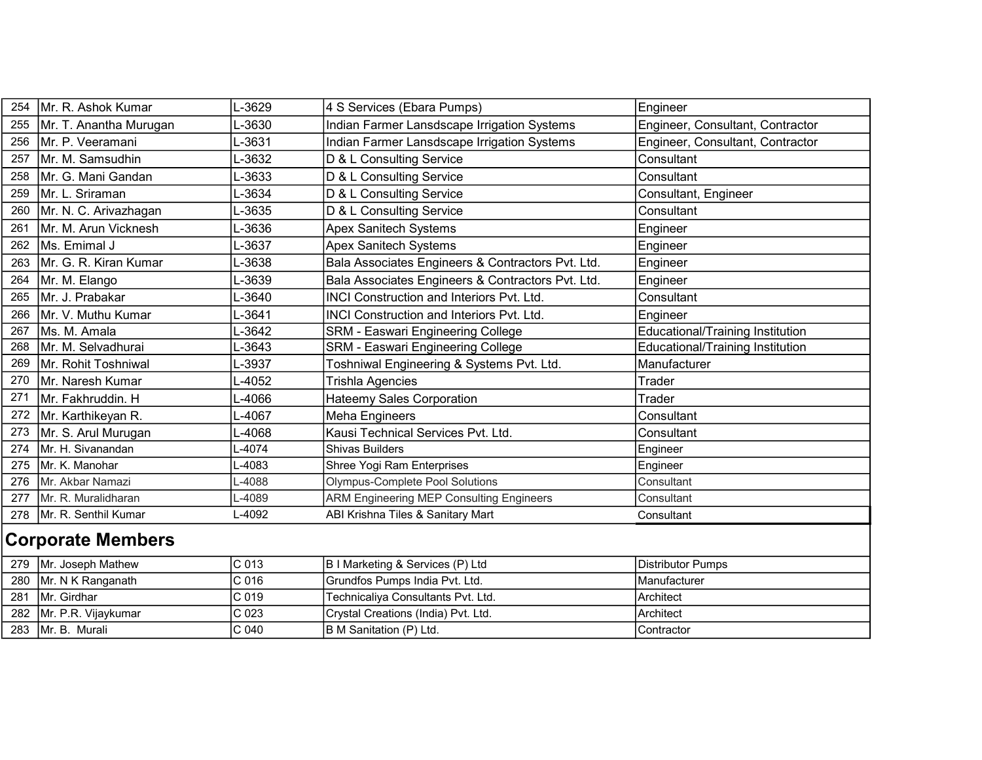| 254 | Mr. R. Ashok Kumar       | -3629            | 4 S Services (Ebara Pumps)                        | Engineer                                |
|-----|--------------------------|------------------|---------------------------------------------------|-----------------------------------------|
| 255 | Mr. T. Anantha Murugan   | L-3630           | Indian Farmer Lansdscape Irrigation Systems       | Engineer, Consultant, Contractor        |
| 256 | Mr. P. Veeramani         | -3631            | Indian Farmer Lansdscape Irrigation Systems       | Engineer, Consultant, Contractor        |
| 257 | Mr. M. Samsudhin         | -3632            | D & L Consulting Service                          | Consultant                              |
| 258 | Mr. G. Mani Gandan       | L-3633           | D & L Consulting Service                          | Consultant                              |
| 259 | Mr. L. Sriraman          | L-3634           | D & L Consulting Service                          | Consultant, Engineer                    |
| 260 | Mr. N. C. Arivazhagan    | L-3635           | D & L Consulting Service                          | Consultant                              |
| 261 | Mr. M. Arun Vicknesh     | -3636            | <b>Apex Sanitech Systems</b>                      | Engineer                                |
| 262 | Ms. Emimal J             | L-3637           | <b>Apex Sanitech Systems</b>                      | Engineer                                |
| 263 | Mr. G. R. Kiran Kumar    | -3638            | Bala Associates Engineers & Contractors Pvt. Ltd. | Engineer                                |
| 264 | Mr. M. Elango            | L-3639           | Bala Associates Engineers & Contractors Pvt. Ltd. | Engineer                                |
| 265 | Mr. J. Prabakar          | -3640            | <b>INCI Construction and Interiors Pvt. Ltd.</b>  | Consultant                              |
| 266 | Mr. V. Muthu Kumar       | L-3641           | <b>INCI Construction and Interiors Pvt. Ltd.</b>  | Engineer                                |
| 267 | Ms. M. Amala             | -3642            | SRM - Easwari Engineering College                 | <b>Educational/Training Institution</b> |
| 268 | Mr. M. Selvadhurai       | $-3643$          | SRM - Easwari Engineering College                 | Educational/Training Institution        |
| 269 | Mr. Rohit Toshniwal      | L-3937           | Toshniwal Engineering & Systems Pvt. Ltd.         | Manufacturer                            |
| 270 | Mr. Naresh Kumar         | -4052            | <b>Trishla Agencies</b>                           | Trader                                  |
| 271 | Mr. Fakhruddin. H        | -4066            | <b>Hateemy Sales Corporation</b>                  | Trader                                  |
|     |                          |                  |                                                   |                                         |
| 272 | Mr. Karthikeyan R.       | -4067            | Meha Engineers                                    | Consultant                              |
| 273 | Mr. S. Arul Murugan      | L-4068           | Kausi Technical Services Pvt. Ltd.                | Consultant                              |
| 274 | Mr. H. Sivanandan        | $-4074$          | <b>Shivas Builders</b>                            | Engineer                                |
| 275 | Mr. K. Manohar           | $-4083$          | Shree Yogi Ram Enterprises                        | Engineer                                |
| 276 | Mr. Akbar Namazi         | -4088            | <b>Olympus-Complete Pool Solutions</b>            | Consultant                              |
| 277 | Mr. R. Muralidharan      | L-4089           | ARM Engineering MEP Consulting Engineers          | Consultant                              |
| 278 | Mr. R. Senthil Kumar     | L-4092           | ABI Krishna Tiles & Sanitary Mart                 | Consultant                              |
|     | <b>Corporate Members</b> |                  |                                                   |                                         |
| 279 | Mr. Joseph Mathew        | C 013            | B I Marketing & Services (P) Ltd                  | <b>Distributor Pumps</b>                |
| 280 | Mr. N K Ranganath        | C <sub>016</sub> | Grundfos Pumps India Pvt. Ltd.                    | Manufacturer                            |
| 281 | Mr. Girdhar              | C 019            | Technicaliya Consultants Pvt. Ltd.                | Architect                               |

B M Sanitation (P) Ltd. Contractor

282 Mr. P.R. Vijaykumar C 023 Crystal Creations (India) Pvt. Ltd. Architect Architect C 040 B M Sanitation (P) Ltd. Contracto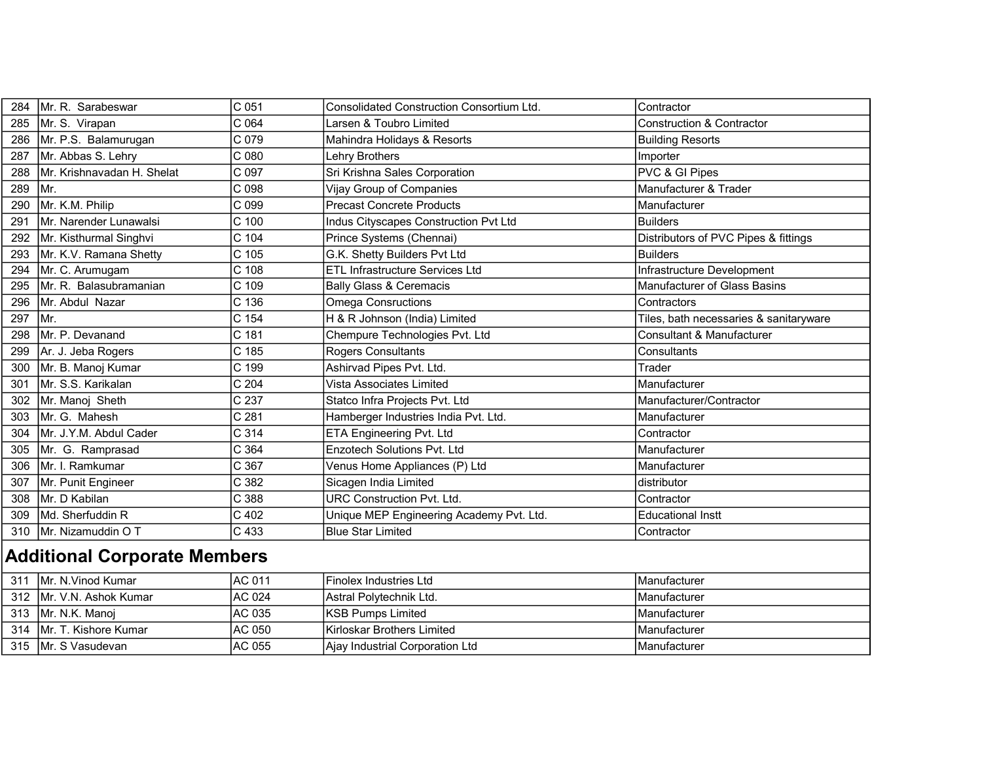| 284 | Mr. R. Sarabeswar                   | C 051            | Consolidated Construction Consortium Ltd. | Contractor                             |
|-----|-------------------------------------|------------------|-------------------------------------------|----------------------------------------|
| 285 | Mr. S. Virapan                      | C 064            | Larsen & Toubro Limited                   | <b>Construction &amp; Contractor</b>   |
| 286 | Mr. P.S. Balamurugan                | C 079            | Mahindra Holidays & Resorts               | <b>Building Resorts</b>                |
| 287 | Mr. Abbas S. Lehry                  | C 080            | <b>Lehry Brothers</b>                     | Importer                               |
| 288 | Mr. Krishnavadan H. Shelat          | C <sub>097</sub> | Sri Krishna Sales Corporation             | PVC & GI Pipes                         |
| 289 | Mr.                                 | C 098            | Vijay Group of Companies                  | Manufacturer & Trader                  |
| 290 | Mr. K.M. Philip                     | C 099            | <b>Precast Concrete Products</b>          | Manufacturer                           |
| 291 | Mr. Narender Lunawalsi              | C 100            | Indus Cityscapes Construction Pvt Ltd     | <b>Builders</b>                        |
| 292 | Mr. Kisthurmal Singhvi              | C 104            | Prince Systems (Chennai)                  | Distributors of PVC Pipes & fittings   |
| 293 | Mr. K.V. Ramana Shetty              | C 105            | G.K. Shetty Builders Pvt Ltd              | <b>Builders</b>                        |
| 294 | Mr. C. Arumugam                     | C <sub>108</sub> | <b>ETL</b> Infrastructure Services Ltd    | Infrastructure Development             |
| 295 | Mr. R. Balasubramanian              | C 109            | <b>Bally Glass &amp; Ceremacis</b>        | Manufacturer of Glass Basins           |
| 296 | Mr. Abdul Nazar                     | C 136            | Omega Consructions                        | Contractors                            |
| 297 | Mr.                                 | C 154            | H & R Johnson (India) Limited             | Tiles, bath necessaries & sanitaryware |
| 298 | Mr. P. Devanand                     | C 181            | Chempure Technologies Pvt. Ltd            | <b>Consultant &amp; Manufacturer</b>   |
| 299 | Ar. J. Jeba Rogers                  | C 185            | <b>Rogers Consultants</b>                 | Consultants                            |
| 300 | Mr. B. Manoj Kumar                  | C 199            | Ashirvad Pipes Pvt. Ltd.                  | Trader                                 |
| 301 | Mr. S.S. Karikalan                  | C <sub>204</sub> | Vista Associates Limited                  | Manufacturer                           |
| 302 | Mr. Manoj Sheth                     | C 237            | Statco Infra Projects Pvt. Ltd            | Manufacturer/Contractor                |
| 303 | Mr. G. Mahesh                       | C <sub>281</sub> | Hamberger Industries India Pvt. Ltd.      | Manufacturer                           |
| 304 | Mr. J.Y.M. Abdul Cader              | C <sub>314</sub> | ETA Engineering Pvt. Ltd                  | Contractor                             |
| 305 | Mr. G. Ramprasad                    | C 364            | <b>Enzotech Solutions Pvt. Ltd</b>        | Manufacturer                           |
| 306 | Mr. I. Ramkumar                     | C 367            | Venus Home Appliances (P) Ltd             | Manufacturer                           |
| 307 | Mr. Punit Engineer                  | C 382            | Sicagen India Limited                     | distributor                            |
| 308 | Mr. D Kabilan                       | C 388            | <b>URC Construction Pvt. Ltd.</b>         | Contractor                             |
| 309 | Md. Sherfuddin R                    | C 402            | Unique MEP Engineering Academy Pvt. Ltd.  | <b>Educational Instt</b>               |
| 310 | Mr. Nizamuddin O T                  | C 433            | <b>Blue Star Limited</b>                  | Contractor                             |
|     | <b>Additional Corporate Members</b> |                  |                                           |                                        |
|     | 211 Mr NWood Kumor                  | $AC$ $011$       | $Einolov$ Inductrice Ltd.                 | Monufacturer                           |

| 311 | Mr. N.Vinod Kumar         | IAC 011 | <b>IFinolex Industries Ltd</b>    | <b>Manufacturer</b>  |
|-----|---------------------------|---------|-----------------------------------|----------------------|
|     | 312 IMr. V.N. Ashok Kumar | IAC 024 | <b>Astral Polytechnik Ltd.</b>    | <b>IManufacturer</b> |
|     | 313 IMr. N.K. Manoi       | IAC 035 | <b>IKSB Pumps Limited</b>         | <b>IManufacturer</b> |
|     | 314 IMr. T. Kishore Kumar | IAC 050 | <b>Kirloskar Brothers Limited</b> | <b>IManufacturer</b> |
|     | 315 IMr. S Vasudevan      | IAC 055 | Ajay Industrial Corporation Ltd   | <b>IManufacturer</b> |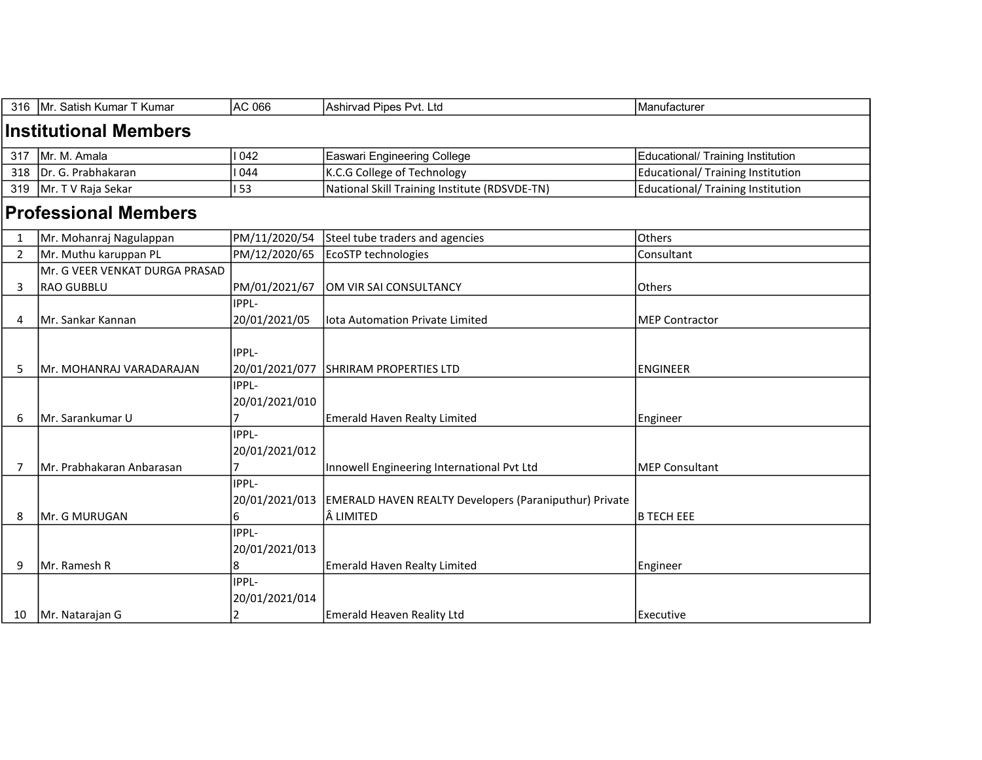|                              | 316   Mr. Satish Kumar T Kumar | AC 066                         | Ashirvad Pipes Pvt. Ltd                                                           | Manufacturer                             |  |  |  |
|------------------------------|--------------------------------|--------------------------------|-----------------------------------------------------------------------------------|------------------------------------------|--|--|--|
| <b>Institutional Members</b> |                                |                                |                                                                                   |                                          |  |  |  |
| 317                          | Mr. M. Amala                   | 1042                           | <b>Easwari Engineering College</b>                                                | Educational/ Training Institution        |  |  |  |
| 318                          | Dr. G. Prabhakaran             | 044                            | K.C.G College of Technology                                                       | <b>Educational/ Training Institution</b> |  |  |  |
| 319                          | Mr. T V Raja Sekar             | <b>53</b>                      | National Skill Training Institute (RDSVDE-TN)                                     | <b>Educational/ Training Institution</b> |  |  |  |
| <b>Professional Members</b>  |                                |                                |                                                                                   |                                          |  |  |  |
| 1                            | Mr. Mohanraj Nagulappan        | PM/11/2020/54                  | Steel tube traders and agencies                                                   | Others                                   |  |  |  |
| 2                            | Mr. Muthu karuppan PL          | PM/12/2020/65                  | EcoSTP technologies                                                               | Consultant                               |  |  |  |
|                              | Mr. G VEER VENKAT DURGA PRASAD |                                |                                                                                   |                                          |  |  |  |
| 3                            | RAO GUBBLU                     | PM/01/2021/67                  | OM VIR SAI CONSULTANCY                                                            | <b>Others</b>                            |  |  |  |
|                              |                                | IPPL-                          |                                                                                   |                                          |  |  |  |
| 4                            | Mr. Sankar Kannan              | 20/01/2021/05                  | lota Automation Private Limited                                                   | <b>MEP Contractor</b>                    |  |  |  |
| 5                            | Mr. MOHANRAJ VARADARAJAN       | <b>IPPL-</b><br>20/01/2021/077 | <b>SHRIRAM PROPERTIES LTD</b>                                                     | <b>ENGINEER</b>                          |  |  |  |
|                              |                                | IPPL-                          |                                                                                   |                                          |  |  |  |
|                              |                                | 20/01/2021/010                 |                                                                                   |                                          |  |  |  |
| 6                            | Mr. Sarankumar U               |                                | <b>Emerald Haven Realty Limited</b>                                               | Engineer                                 |  |  |  |
|                              |                                | IPPL-<br>20/01/2021/012        |                                                                                   |                                          |  |  |  |
| 7                            | Mr. Prabhakaran Anbarasan      | $\overline{7}$                 | Innowell Engineering International Pvt Ltd                                        | <b>MEP Consultant</b>                    |  |  |  |
| 8                            | Mr. G MURUGAN                  | IPPL-<br>6                     | 20/01/2021/013  EMERALD HAVEN REALTY Developers (Paraniputhur) Private<br>LIMITED | <b>B TECH EEE</b>                        |  |  |  |
|                              |                                | <b>IPPL-</b>                   |                                                                                   |                                          |  |  |  |
|                              |                                | 20/01/2021/013                 |                                                                                   |                                          |  |  |  |
| 9                            | IMr. Ramesh R                  | 8                              | Emerald Haven Realty Limited                                                      | Engineer                                 |  |  |  |
|                              |                                | IPPL-<br>20/01/2021/014        |                                                                                   |                                          |  |  |  |
| 10                           | Mr. Natarajan G                | $\overline{2}$                 | Emerald Heaven Reality Ltd                                                        | Executive                                |  |  |  |